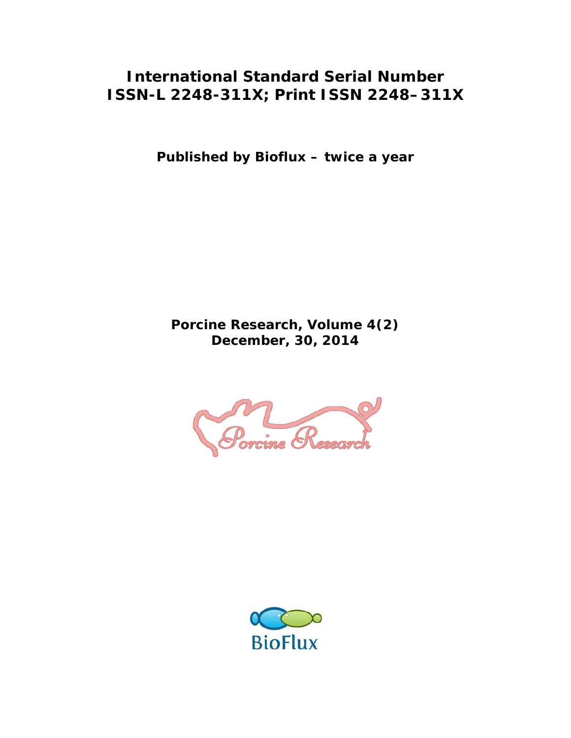## **International Standard Serial Number ISSN-L 2248-311X; Print ISSN 2248–311X**

**Published by Bioflux – twice a year** 

**Porcine Research, Volume 4(2) December, 30, 2014** 



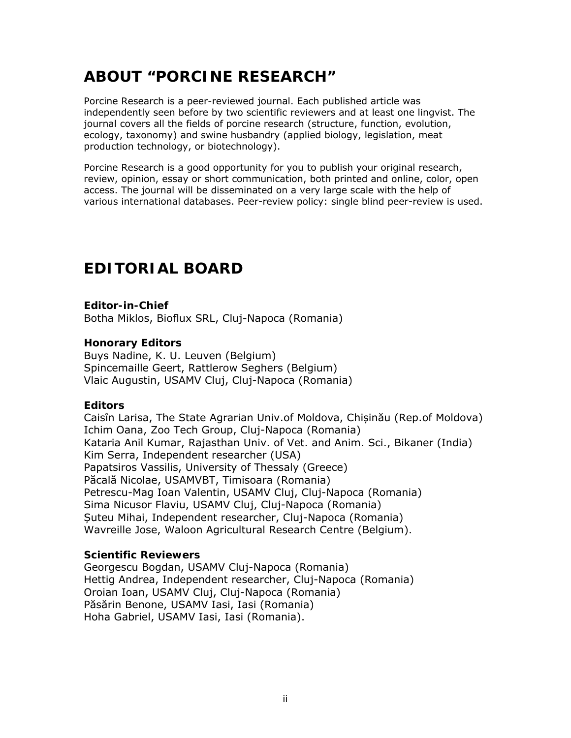# **ABOUT "PORCINE RESEARCH"**

Porcine Research is a peer-reviewed journal. Each published article was independently seen before by two scientific reviewers and at least one lingvist. The journal covers all the fields of porcine research (structure, function, evolution, ecology, taxonomy) and swine husbandry (applied biology, legislation, meat production technology, or biotechnology).

Porcine Research is a good opportunity for you to publish your original research, review, opinion, essay or short communication, both printed and online, color, open access. The journal will be disseminated on a very large scale with the help of various international databases. Peer-review policy: single blind peer-review is used.

## **EDITORIAL BOARD**

**Editor-in-Chief**  Botha Miklos, Bioflux SRL, Cluj-Napoca (Romania)

#### **Honorary Editors**

Buys Nadine, K. U. Leuven (Belgium) Spincemaille Geert, Rattlerow Seghers (Belgium) Vlaic Augustin, USAMV Cluj, Cluj-Napoca (Romania)

#### **Editors**

Caisîn Larisa, The State Agrarian Univ.of Moldova, Chișinău (Rep.of Moldova) Ichim Oana, Zoo Tech Group, Cluj-Napoca (Romania) Kataria Anil Kumar, Rajasthan Univ. of Vet. and Anim. Sci., Bikaner (India) Kim Serra, Independent researcher (USA) Papatsiros Vassilis, University of Thessaly (Greece) Păcală Nicolae, USAMVBT, Timisoara (Romania) Petrescu-Mag Ioan Valentin, USAMV Cluj, Cluj-Napoca (Romania) Sima Nicusor Flaviu, USAMV Cluj, Cluj-Napoca (Romania) Șuteu Mihai, Independent researcher, Cluj-Napoca (Romania) Wavreille Jose, Waloon Agricultural Research Centre (Belgium).

#### **Scientific Reviewers**

Georgescu Bogdan, USAMV Cluj-Napoca (Romania) Hettig Andrea, Independent researcher, Cluj-Napoca (Romania) Oroian Ioan, USAMV Cluj, Cluj-Napoca (Romania) Păsărin Benone, USAMV Iasi, Iasi (Romania) Hoha Gabriel, USAMV Iasi, Iasi (Romania).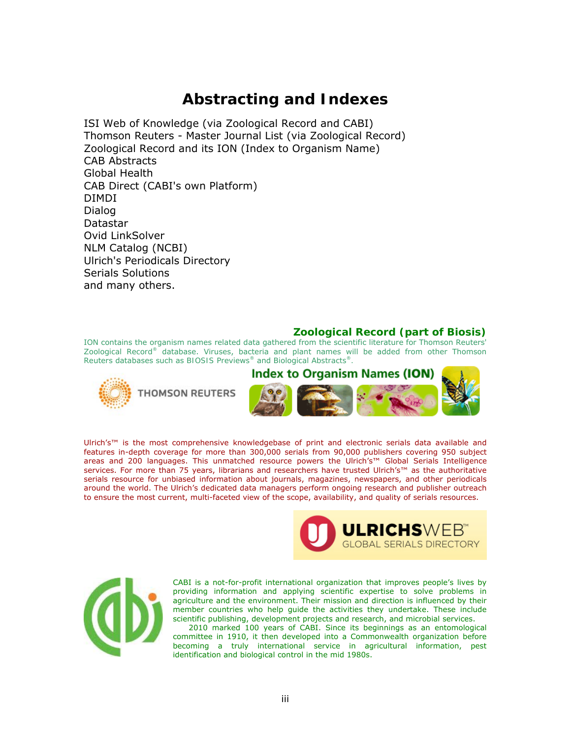### **Abstracting and Indexes**

ISI Web of Knowledge (via Zoological Record and CABI) Thomson Reuters - Master Journal List (via Zoological Record) Zoological Record and its ION (Index to Organism Name) CAB Abstracts Global Health CAB Direct (CABI's own Platform) DIMDI Dialog Datastar Ovid LinkSolver NLM Catalog (NCBI) Ulrich's Periodicals Directory Serials Solutions and many others.

#### **Zoological Record (part of Biosis)**

ION contains the organism names related data gathered from the scientific literature for Thomson Reuters' *[Zoological Record®](http://www.thomsonreuters.com/products_services/science/science_products/scholarly_research_analysis/research_discovery/zoological_record)* database. Viruses, bacteria and plant names will be added from other Thomson Reuters databases such as *[BIOSIS Previews](http://www.thomsonreuters.com/products_services/science/science_products/scholarly_research_analysis/research_discovery/biosis_previews)[®](http://www.thomsonreuters.com/products_services/science/science_products/scholarly_research_analysis/research_discovery/biosis_previews)* and *[Biological Abstracts®](http://www.thomsonreuters.com/products_services/science/science_products/scholarly_research_analysis/research_discovery/biological_abstracts).*





Ulrich's™ is the most comprehensive knowledgebase of print and electronic serials data available and features in-depth coverage for more than 300,000 serials from 90,000 publishers covering 950 subject areas and 200 languages. This unmatched resource powers the Ulrich's™ Global Serials Intelligence services. For more than 75 years, librarians and researchers have trusted Ulrich's™ as the authoritative serials resource for unbiased information about journals, magazines, newspapers, and other periodicals around the world. The Ulrich's dedicated data managers perform ongoing research and publisher outreach to ensure the most current, multi-faceted view of the scope, availability, and quality of serials resources.





CABI is a not-for-profit international organization that improves people's lives by providing information and applying scientific expertise to solve problems in agriculture and the environment. Their mission and direction is influenced by their member countries who help guide the activities they undertake. These include scientific publishing, development projects and research, and microbial services.

 2010 marked 100 years of CABI. Since its beginnings as an entomological committee in 1910, it then developed into a Commonwealth organization before becoming a truly international service in agricultural information, pest identification and biological control in the mid 1980s.